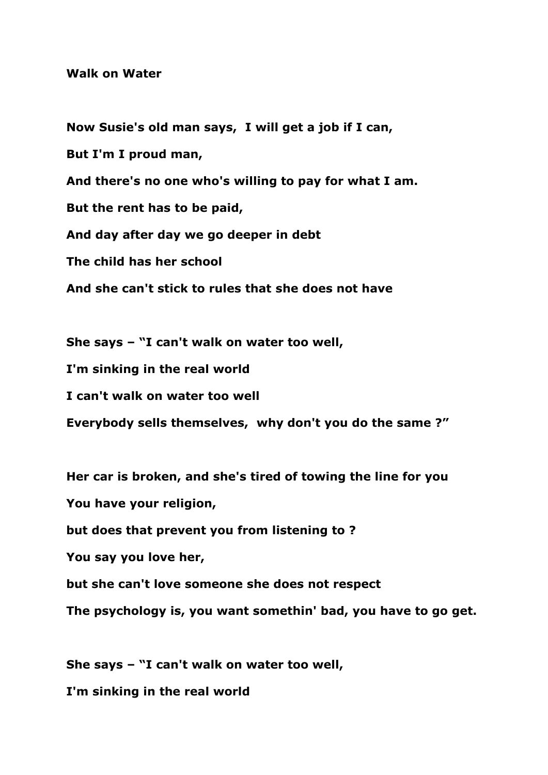## **Walk on Water**

**Now Susie's old man says, I will get a job if I can, But I'm I proud man, And there's no one who's willing to pay for what I am. But the rent has to be paid, And day after day we go deeper in debt The child has her school And she can't stick to rules that she does not have**

**She says – "I can't walk on water too well,**

**I'm sinking in the real world**

**I can't walk on water too well**

**Everybody sells themselves, why don't you do the same ?"**

**Her car is broken, and she's tired of towing the line for you You have your religion,**

**but does that prevent you from listening to ?**

**You say you love her,**

**but she can't love someone she does not respect**

**The psychology is, you want somethin' bad, you have to go get.**

**She says – "I can't walk on water too well, I'm sinking in the real world**